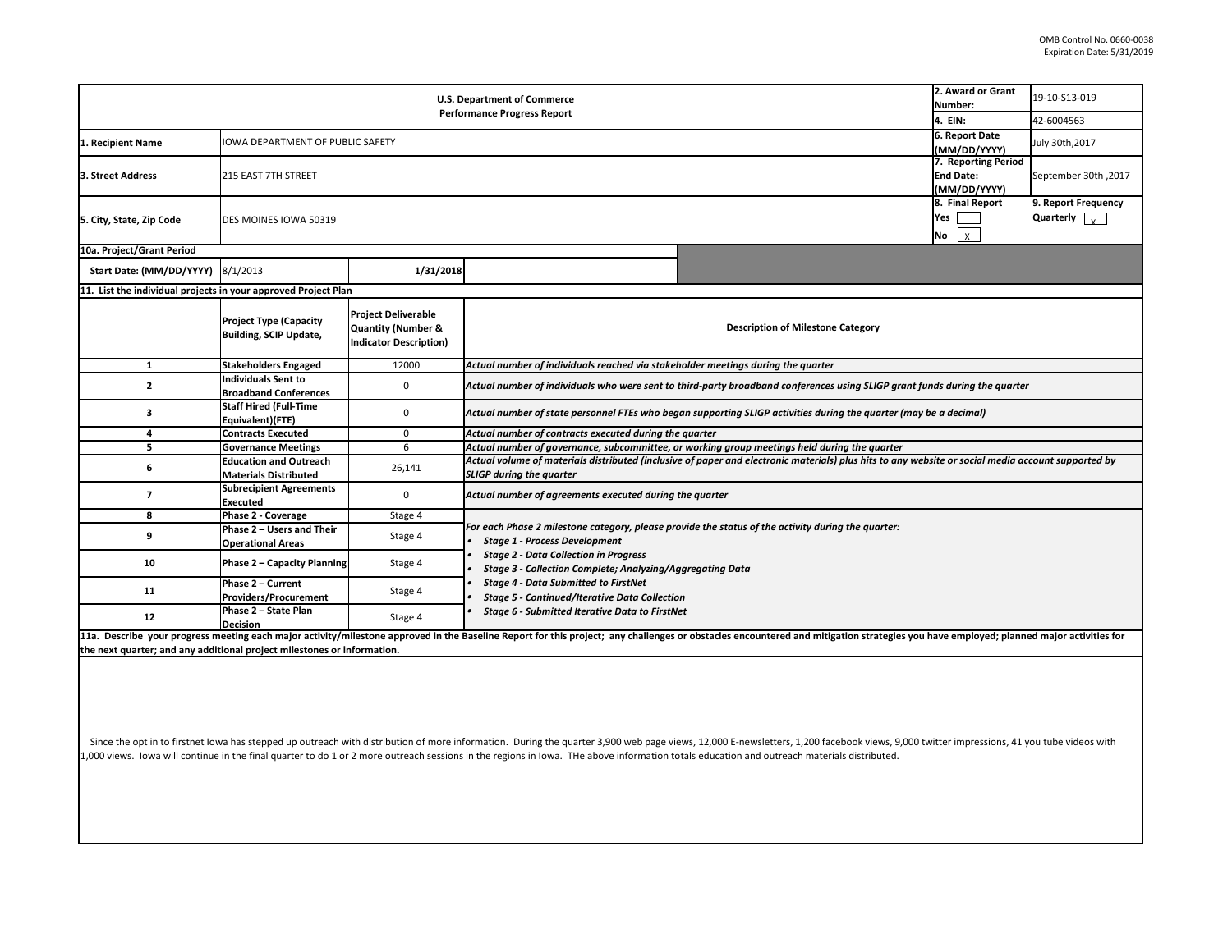|                                                                       | 2. Award or Grant              | 19-10-S13-019                  |  |
|-----------------------------------------------------------------------|--------------------------------|--------------------------------|--|
|                                                                       | Number:<br>4. EIN:             |                                |  |
|                                                                       |                                | 42-6004563                     |  |
|                                                                       | 6. Report Date<br>(MM/DD/YYYY) | July 30th, 2017                |  |
|                                                                       | 7. Reporting Period            |                                |  |
|                                                                       | <b>End Date:</b>               | September 30th, 2017           |  |
|                                                                       | (MM/DD/YYYY)                   |                                |  |
|                                                                       | 8. Final Report                | 9. Report Frequency            |  |
|                                                                       | Yes                            | Quarterly $\sqrt{\frac{1}{x}}$ |  |
|                                                                       | No<br>Χ                        |                                |  |
|                                                                       |                                |                                |  |
|                                                                       |                                |                                |  |
|                                                                       |                                |                                |  |
| stone Category                                                        |                                |                                |  |
|                                                                       |                                |                                |  |
| arter                                                                 |                                |                                |  |
| ences using SLIGP grant funds during the quarter                      |                                |                                |  |
|                                                                       |                                |                                |  |
| during the quarter (may be a decimal)                                 |                                |                                |  |
|                                                                       |                                |                                |  |
| d during the quarter                                                  |                                |                                |  |
| erials) plus hits to any website or social media account supported by |                                |                                |  |
|                                                                       |                                |                                |  |
| during the quarter:                                                   |                                |                                |  |
|                                                                       |                                |                                |  |
|                                                                       |                                |                                |  |
|                                                                       |                                |                                |  |
|                                                                       |                                |                                |  |
|                                                                       |                                |                                |  |
|                                                                       |                                |                                |  |
| mitigation strategies you have employed; planned major activities for |                                |                                |  |
|                                                                       |                                |                                |  |
|                                                                       |                                |                                |  |
|                                                                       |                                |                                |  |
|                                                                       |                                |                                |  |
|                                                                       |                                |                                |  |
| 00 facebook views, 9,000 twitter impressions, 41 you tube videos with |                                |                                |  |
| aterials distributed.                                                 |                                |                                |  |
|                                                                       |                                |                                |  |
|                                                                       |                                |                                |  |
|                                                                       |                                |                                |  |
|                                                                       |                                |                                |  |
|                                                                       |                                |                                |  |
|                                                                       |                                |                                |  |

| <b>U.S. Department of Commerce</b><br><b>Performance Progress Report</b> |                                                                |                                                                                              |                                                                                                                                                                                       | 2. Award or Grant<br>Number:                                                                                                                                                                                                   | 19-10-S13-019                                           |                     |
|--------------------------------------------------------------------------|----------------------------------------------------------------|----------------------------------------------------------------------------------------------|---------------------------------------------------------------------------------------------------------------------------------------------------------------------------------------|--------------------------------------------------------------------------------------------------------------------------------------------------------------------------------------------------------------------------------|---------------------------------------------------------|---------------------|
|                                                                          |                                                                |                                                                                              |                                                                                                                                                                                       | 4. EIN:                                                                                                                                                                                                                        | 42-6004563                                              |                     |
| 1. Recipient Name                                                        | <b>IOWA DEPARTMENT OF PUBLIC SAFETY</b>                        |                                                                                              |                                                                                                                                                                                       |                                                                                                                                                                                                                                | 6. Report Date<br>(MM/DD/YYYY)                          | July 30th, 2017     |
| 3. Street Address                                                        | <b>215 EAST 7TH STREET</b>                                     |                                                                                              |                                                                                                                                                                                       |                                                                                                                                                                                                                                | 7. Reporting Period<br><b>End Date:</b><br>(MM/DD/YYYY) | September 30th, 201 |
| 5. City, State, Zip Code                                                 | DES MOINES IOWA 50319                                          |                                                                                              |                                                                                                                                                                                       | 8. Final Report<br>Yes<br>No                                                                                                                                                                                                   | 9. Report Frequency<br>Quarterly $\sqrt{v}$             |                     |
| 10a. Project/Grant Period                                                |                                                                |                                                                                              |                                                                                                                                                                                       |                                                                                                                                                                                                                                |                                                         |                     |
| <b>Start Date: (MM/DD/YYYY)</b> 8/1/2013                                 |                                                                | 1/31/2018                                                                                    |                                                                                                                                                                                       |                                                                                                                                                                                                                                |                                                         |                     |
| 11. List the individual projects in your approved Project Plan           |                                                                |                                                                                              |                                                                                                                                                                                       |                                                                                                                                                                                                                                |                                                         |                     |
|                                                                          | <b>Project Type (Capacity</b><br><b>Building, SCIP Update,</b> | <b>Project Deliverable</b><br><b>Quantity (Number &amp;</b><br><b>Indicator Description)</b> |                                                                                                                                                                                       | <b>Description of Milestone Category</b>                                                                                                                                                                                       |                                                         |                     |
| 1                                                                        | <b>Stakeholders Engaged</b>                                    | 12000                                                                                        | Actual number of individuals reached via stakeholder meetings during the quarter                                                                                                      |                                                                                                                                                                                                                                |                                                         |                     |
|                                                                          | <b>Individuals Sent to</b><br><b>Broadband Conferences</b>     | 0                                                                                            | Actual number of individuals who were sent to third-party broadband conferences using SLIGP grant funds during the quarter                                                            |                                                                                                                                                                                                                                |                                                         |                     |
| 3                                                                        | <b>Staff Hired (Full-Time</b><br>Equivalent)(FTE)              | 0                                                                                            | Actual number of state personnel FTEs who began supporting SLIGP activities during the quarter (may be a decimal)                                                                     |                                                                                                                                                                                                                                |                                                         |                     |
|                                                                          | <b>Contracts Executed</b>                                      | 0                                                                                            | Actual number of contracts executed during the quarter                                                                                                                                |                                                                                                                                                                                                                                |                                                         |                     |
|                                                                          | <b>Governance Meetings</b>                                     | 6                                                                                            |                                                                                                                                                                                       | Actual number of governance, subcommittee, or working group meetings held during the quarter                                                                                                                                   |                                                         |                     |
| 6                                                                        | <b>Education and Outreach</b><br><b>Materials Distributed</b>  | 26,141                                                                                       | Actual volume of materials distributed (inclusive of paper and electronic materials) plus hits to any website or social media account supported by<br><b>SLIGP during the quarter</b> |                                                                                                                                                                                                                                |                                                         |                     |
| 7                                                                        | <b>Subrecipient Agreements</b><br><b>Executed</b>              | $\mathbf 0$                                                                                  | Actual number of agreements executed during the quarter                                                                                                                               |                                                                                                                                                                                                                                |                                                         |                     |
| 8                                                                        | <b>Phase 2 - Coverage</b>                                      | Stage 4                                                                                      |                                                                                                                                                                                       |                                                                                                                                                                                                                                |                                                         |                     |
| 9                                                                        | Phase 2 - Users and Their<br><b>Operational Areas</b>          | Stage 4                                                                                      | <b>Stage 1 - Process Development</b>                                                                                                                                                  | For each Phase 2 milestone category, please provide the status of the activity during the quarter:                                                                                                                             |                                                         |                     |
| 10                                                                       | <b>Phase 2 - Capacity Planning</b>                             | Stage 4                                                                                      | <b>Stage 2 - Data Collection in Progress</b><br><b>Stage 3 - Collection Complete; Analyzing/Aggregating Data</b>                                                                      |                                                                                                                                                                                                                                |                                                         |                     |
| 11                                                                       | Phase 2 - Current<br><b>Providers/Procurement</b>              | Stage 4                                                                                      | <b>Stage 4 - Data Submitted to FirstNet</b><br><b>Stage 5 - Continued/Iterative Data Collection</b>                                                                                   |                                                                                                                                                                                                                                |                                                         |                     |
| 12                                                                       | Phase 2 - State Plan<br><b>Decision</b>                        | Stage 4                                                                                      | <b>Stage 6 - Submitted Iterative Data to FirstNet</b>                                                                                                                                 |                                                                                                                                                                                                                                |                                                         |                     |
|                                                                          |                                                                |                                                                                              |                                                                                                                                                                                       | 11a. Describe your progress meeting each major activity/milestone approved in the Baseline Report for this project; any challenges or obstacles encountered and mitigation strategies you have employed; planned major activit |                                                         |                     |

**the next quarter; and any additional project milestones or information.** 

Since the opt in to firstnet Iowa has stepped up outreach with distribution of more information. During the quarter 3,900 web page views, 12,000 E-newsletters, 1,20  $1,000$  views. Iowa will continue in the final quarter to do 1 or 2 more outreach sessions in the regions in Iowa. THe above information totals education and outreach m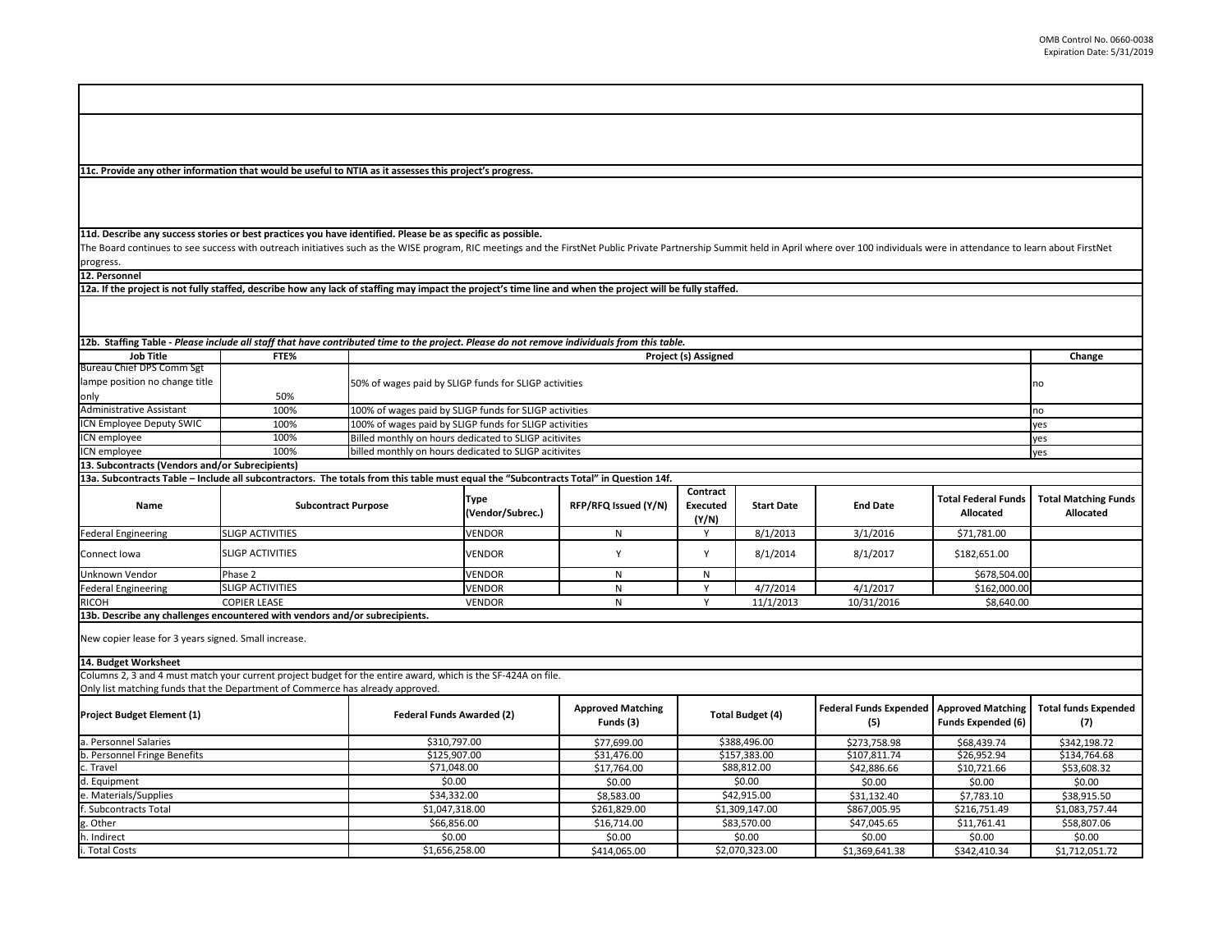The Board continues to see success with outreach initiatives such as the WISE program, RIC meetings and the FirstNet Public Private Partnership Summit held in April w progress.

**13b. Describe any challenges encountered with vendors and/or subrecipients.** 

| <b>Job Title</b>               | FTE%        | <b>Project (s) Assigned</b>                            | Change      |
|--------------------------------|-------------|--------------------------------------------------------|-------------|
| Bureau Chief DPS Comm Sgt      |             |                                                        |             |
| lampe position no change title |             | 50% of wages paid by SLIGP funds for SLIGP activities  | Ino         |
| only                           | 50%         |                                                        |             |
| Administrative Assistant       | 100%        | 100% of wages paid by SLIGP funds for SLIGP activities |             |
| ICN Employee Deputy SWIC       | 100%        | 100% of wages paid by SLIGP funds for SLIGP activities |             |
| ICN employee                   | 100%        | Billed monthly on hours dedicated to SLIGP acitivites  |             |
| ICN employee                   | 100%        | billed monthly on hours dedicated to SLIGP acitivites  | <b>Tyes</b> |
|                                | .<br>.<br>. |                                                        |             |

**12b. Staffing Table -** *Please include all staff that have contributed time to the project. Please do not remove individuals from this table.*

**12a. If the project is not fully staffed, describe how any lack of staffing may impact the project's time line and when the project will be fully staffed.**

**12. Personnel** 

|                                      |                                             |                   | t Public Private Partnership Summit held in April where over 100 individuals were in attendance to learn about FirstNet |                                                       |                                                 |
|--------------------------------------|---------------------------------------------|-------------------|-------------------------------------------------------------------------------------------------------------------------|-------------------------------------------------------|-------------------------------------------------|
|                                      |                                             |                   |                                                                                                                         |                                                       |                                                 |
| n the project will be fully staffed. |                                             |                   |                                                                                                                         |                                                       |                                                 |
| duals from this table.               |                                             |                   |                                                                                                                         |                                                       |                                                 |
|                                      | <b>Project (s) Assigned</b>                 |                   |                                                                                                                         |                                                       | Change                                          |
|                                      |                                             |                   |                                                                                                                         |                                                       | no                                              |
|                                      |                                             |                   |                                                                                                                         |                                                       | no                                              |
|                                      |                                             |                   |                                                                                                                         |                                                       | yes                                             |
|                                      |                                             |                   |                                                                                                                         |                                                       | yes                                             |
|                                      |                                             |                   |                                                                                                                         |                                                       | yes                                             |
| l" in Question 14f.                  |                                             |                   |                                                                                                                         |                                                       |                                                 |
| <b>RFQ Issued (Y/N)</b>              | <b>Contract</b><br><b>Executed</b><br>(Y/N) | <b>Start Date</b> | <b>End Date</b>                                                                                                         | <b>Total Federal Funds</b><br><b>Allocated</b>        | <b>Total Matching Funds</b><br><b>Allocated</b> |
| N                                    | Y                                           | 8/1/2013          | 3/1/2016                                                                                                                | \$71,781.00                                           |                                                 |
| Υ                                    | Υ                                           | 8/1/2014          | 8/1/2017                                                                                                                | \$182,651.00                                          |                                                 |
| $\mathsf{N}$                         | ${\sf N}$                                   |                   |                                                                                                                         | \$678,504.00                                          |                                                 |
| N                                    | Υ                                           | 4/7/2014          | 4/1/2017                                                                                                                | \$162,000.00                                          |                                                 |
| N                                    | Υ                                           | 11/1/2013         | 10/31/2016                                                                                                              | \$8,640.00                                            |                                                 |
|                                      |                                             |                   |                                                                                                                         |                                                       |                                                 |
|                                      |                                             |                   |                                                                                                                         |                                                       |                                                 |
| roved Matching<br>Funds (3)          | <b>Total Budget (4)</b>                     |                   | <b>Federal Funds Expended</b><br>(5)                                                                                    | <b>Approved Matching</b><br><b>Funds Expended (6)</b> | <b>Total funds Expended</b><br>(7)              |
| \$77,699.00                          |                                             | \$388,496.00      | \$273,758.98                                                                                                            | \$68,439.74                                           | \$342,198.72                                    |
| \$31,476.00                          | \$157,383.00                                |                   | \$107,811.74                                                                                                            | \$26,952.94                                           | \$134,764.68                                    |
| \$17,764.00                          |                                             | \$88,812.00       | \$42,886.66                                                                                                             | \$10,721.66                                           | \$53,608.32                                     |
| \$0.00                               |                                             | \$0.00            | \$0.00                                                                                                                  | \$0.00                                                | \$0.00                                          |
| \$8,583.00                           |                                             | \$42,915.00       | \$31,132.40                                                                                                             | \$7,783.10                                            | \$38,915.50                                     |
| \$261,829.00                         |                                             | \$1,309,147.00    | \$867,005.95                                                                                                            | \$216,751.49                                          | \$1,083,757.44                                  |
| \$16,714.00                          |                                             | \$83,570.00       | \$47,045.65                                                                                                             | \$11,761.41                                           | \$58,807.06                                     |
| \$0.00                               |                                             | \$0.00            | \$0.00                                                                                                                  | \$0.00                                                | \$0.00                                          |
| \$414,065.00                         |                                             | \$2,070,323.00    | \$1,369,641.38                                                                                                          | \$342,410.34                                          | \$1,712,051.72                                  |

| <b>Name</b>                | <b>Subcontract Purpose</b> | <b>Type</b><br>(Vendor/Subrec.) | RFP/RFQ Issued (Y/N) | <b>Contract</b><br>Executed<br>(Y/N) | <b>Start Date</b> | <b>End Date</b> | <b>Total Federal Funds</b><br><b>Allocated</b> |
|----------------------------|----------------------------|---------------------------------|----------------------|--------------------------------------|-------------------|-----------------|------------------------------------------------|
| <b>Federal Engineering</b> | <b>SLIGP ACTIVITIES</b>    | VENDOR                          |                      |                                      | 8/1/2013          | 3/1/2016        | \$71,781.00                                    |
| Connect Iowa               | <b>SLIGP ACTIVITIES</b>    | <b>VENDOR</b>                   |                      |                                      | 8/1/2014          | 8/1/2017        | \$182,651.00                                   |
| Unknown Vendor             | Phase 2                    | <b>VENDOR</b>                   |                      | N                                    |                   |                 | \$678,504.00                                   |
| <b>Federal Engineering</b> | <b>SLIGP ACTIVITIES</b>    | <b>VENDOR</b>                   |                      |                                      | 4/7/2014          | 4/1/2017        | \$162,000.00                                   |
| <b>RICOH</b>               | <b>COPIER LEASE</b>        | <b>VENDOR</b>                   |                      |                                      | 11/1/2013         | 10/31/2016      | \$8,640.00                                     |

**11d. Describe any success stories or best practices you have identified. Please be as specific as possible.**

| <b>Project Budget Element (1)</b> | <b>Federal Funds Awarded (2)</b> | <b>Approved Matching</b><br>Funds (3) | Total Budget (4) |  |
|-----------------------------------|----------------------------------|---------------------------------------|------------------|--|
| a. Personnel Salaries             | \$310,797.00                     | \$77,699.00                           | \$388,496.00     |  |
| b. Personnel Fringe Benefits      | \$125,907.00                     | \$31,476.00                           | \$157,383.00     |  |
| c. Travel                         | \$71,048.00                      | \$17,764.00                           | \$88,812.00      |  |
| d. Equipment                      | \$0.00                           | \$0.00                                | \$0.00           |  |
| e. Materials/Supplies             | \$34,332.00                      | \$8,583.00                            | \$42,915.00      |  |
| f. Subcontracts Total             | \$1,047,318.00                   | \$261,829.00                          | \$1,309,147.00   |  |
| g. Other                          | \$66,856.00                      | \$16,714.00                           | \$83,570.00      |  |
| h. Indirect                       | \$0.00                           | \$0.00                                | \$0.00           |  |
| i. Total Costs                    | \$1,656,258.00                   | \$414,065.00                          | \$2,070,323.00   |  |

**13a. Subcontracts Table – Include all subcontractors. The totals from this table must equal the "Subcontracts Total" in Question 14f.**

**11c. Provide any other information that would be useful to NTIA as it assesses this project's progress.** 

**13. Subcontracts (Vendors and/or Subrecipients)**

New copier lease for 3 years signed. Small increase.

**14. Budget Worksheet**

Columns 2, 3 and 4 must match your current project budget for the entire award, which is the SF-424A on file. Only list matching funds that the Department of Commerce has already approved.